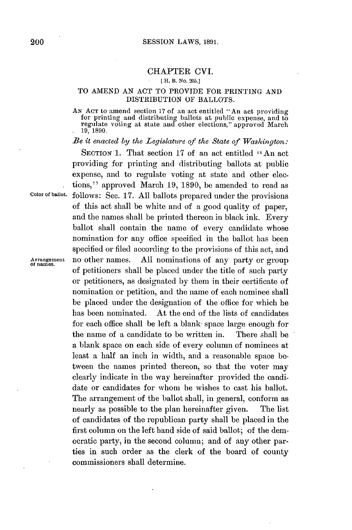## CHAPTER **CVI.**

## **[ H. B. No. 205.]**

## TO **AMEND AN ACT** TO PROVIDE FOR **PRINTING** AND DISTRIBUTION OF BALLOTS.

**AN ACT** to amend section **17** of an act entitled "An act providing for printing and distributing ballots at public expense, and to regulate voting at state and other elections," approved March **19, 1890.**

*Be it enacted by the Legislature of the State of Washington:*

SECTION 1. That section 17 of an act entitled "An act providing for printing and distributing ballots at public expense, and to regulate voting at state and other elections," approved March **19, 1890, be** amended to read as **Color of ballot.** follows: Sec. **17. All** ballots prepared under the provisions of this act shall be white and of a good quality of paper, and the names shall be printed thereon in black ink. Every ballot shall contain the name of every candidate whose nomination for any office specified in the ballot has been specified or filed according to the provisions of this act, and<br>no other names. All nominations of any party or group **Arrangement** no other names. **All** nominations of any party or group **of names.** of petitioners shall be placed under the title of such party or petitioners, as designated **by** them in their certificate of nomination or petition, and the name of each nominee shall be placed under the designation of the office for which he has been nominated. At the end of the lists of candidates for each office shall be left a blank space large enough for the name of a candidate to be written in. There shall be a blank space on each side of every column of nominees at least a half an inch in width, and a reasonable space between the names printed thereon, so that the voter may clearly indicate in the way hereinafter provided the candidate or candidates for whom he wishes to cast his ballot. The arrangement of the ballot shall, in general, conform as nearly as possible to the plan hereinafter given. The list of candidates of the republican party shall be placed in the first column on the left hand side of said ballot; of the democratic party, in the second column; and of any other parties in such order as the clerk of the board of county commissioners shall determine.